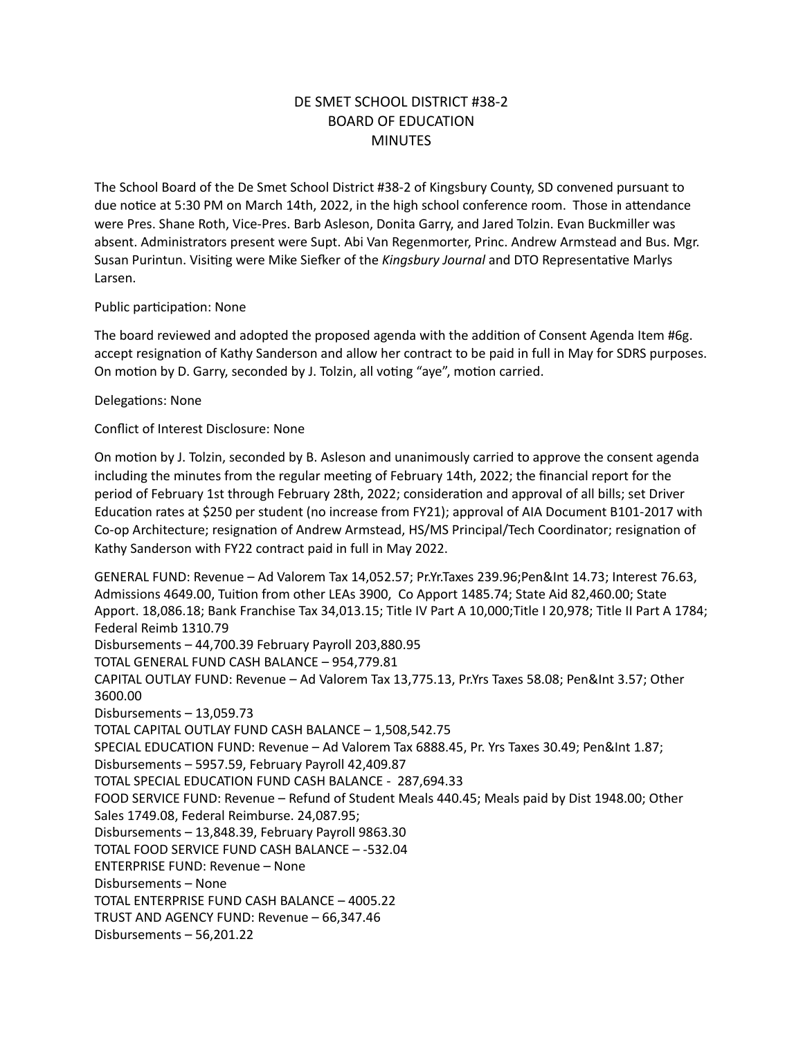# DE SMET SCHOOL DISTRICT #38-2 BOARD OF EDUCATION **MINUTES**

The School Board of the De Smet School District #38-2 of Kingsbury County, SD convened pursuant to due notice at 5:30 PM on March 14th, 2022, in the high school conference room. Those in attendance were Pres. Shane Roth, Vice-Pres. Barb Asleson, Donita Garry, and Jared Tolzin. Evan Buckmiller was absent. Administrators present were Supt. Abi Van Regenmorter, Princ. Andrew Armstead and Bus. Mgr. Susan Purintun. Visiting were Mike Siefker of the *Kingsbury Journal* and DTO Representative Marlys Larsen.

### Public participation: None

The board reviewed and adopted the proposed agenda with the addition of Consent Agenda Item #6g. accept resignation of Kathy Sanderson and allow her contract to be paid in full in May for SDRS purposes. On motion by D. Garry, seconded by J. Tolzin, all voting "aye", motion carried.

### Delegations: None

Conflict of Interest Disclosure: None

On motion by J. Tolzin, seconded by B. Asleson and unanimously carried to approve the consent agenda including the minutes from the regular meeting of February 14th, 2022; the financial report for the period of February 1st through February 28th, 2022; consideration and approval of all bills; set Driver Education rates at \$250 per student (no increase from FY21); approval of AIA Document B101-2017 with Co-op Architecture; resignation of Andrew Armstead, HS/MS Principal/Tech Coordinator; resignation of Kathy Sanderson with FY22 contract paid in full in May 2022.

GENERAL FUND: Revenue – Ad Valorem Tax 14,052.57; Pr.Yr.Taxes 239.96;Pen&Int 14.73; Interest 76.63, Admissions 4649.00, Tuition from other LEAs 3900, Co Apport 1485.74; State Aid 82,460.00; State Apport. 18,086.18; Bank Franchise Tax 34,013.15; Title IV Part A 10,000;Title I 20,978; Title II Part A 1784; Federal Reimb 1310.79 Disbursements – 44,700.39 February Payroll 203,880.95 TOTAL GENERAL FUND CASH BALANCE – 954,779.81 CAPITAL OUTLAY FUND: Revenue – Ad Valorem Tax 13,775.13, Pr.Yrs Taxes 58.08; Pen&Int 3.57; Other 3600.00 Disbursements – 13,059.73 TOTAL CAPITAL OUTLAY FUND CASH BALANCE – 1,508,542.75 SPECIAL EDUCATION FUND: Revenue – Ad Valorem Tax 6888.45, Pr. Yrs Taxes 30.49; Pen&Int 1.87; Disbursements – 5957.59, February Payroll 42,409.87 TOTAL SPECIAL EDUCATION FUND CASH BALANCE - 287,694.33 FOOD SERVICE FUND: Revenue – Refund of Student Meals 440.45; Meals paid by Dist 1948.00; Other Sales 1749.08, Federal Reimburse. 24,087.95; Disbursements – 13,848.39, February Payroll 9863.30 TOTAL FOOD SERVICE FUND CASH BALANCE – -532.04 ENTERPRISE FUND: Revenue – None Disbursements – None TOTAL ENTERPRISE FUND CASH BALANCE – 4005.22 TRUST AND AGENCY FUND: Revenue – 66,347.46 Disbursements – 56,201.22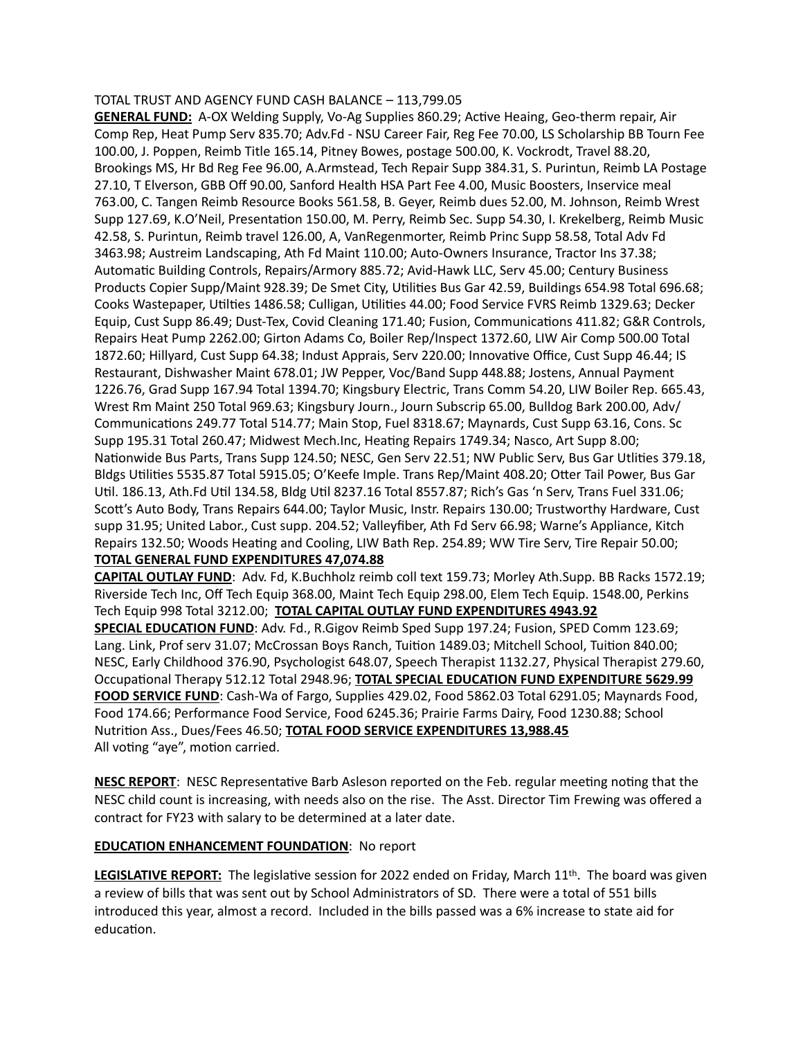#### TOTAL TRUST AND AGENCY FUND CASH BALANCE – 113,799.05

**GENERAL FUND:** A-OX Welding Supply, Vo-Ag Supplies 860.29; Active Heaing, Geo-therm repair, Air Comp Rep, Heat Pump Serv 835.70; Adv.Fd - NSU Career Fair, Reg Fee 70.00, LS Scholarship BB Tourn Fee 100.00, J. Poppen, Reimb Title 165.14, Pitney Bowes, postage 500.00, K. Vockrodt, Travel 88.20, Brookings MS, Hr Bd Reg Fee 96.00, A.Armstead, Tech Repair Supp 384.31, S. Purintun, Reimb LA Postage 27.10, T Elverson, GBB Off 90.00, Sanford Health HSA Part Fee 4.00, Music Boosters, Inservice meal 763.00, C. Tangen Reimb Resource Books 561.58, B. Geyer, Reimb dues 52.00, M. Johnson, Reimb Wrest Supp 127.69, K.O'Neil, Presentation 150.00, M. Perry, Reimb Sec. Supp 54.30, I. Krekelberg, Reimb Music 42.58, S. Purintun, Reimb travel 126.00, A, VanRegenmorter, Reimb Princ Supp 58.58, Total Adv Fd 3463.98; Austreim Landscaping, Ath Fd Maint 110.00; Auto-Owners Insurance, Tractor Ins 37.38; Automatic Building Controls, Repairs/Armory 885.72; Avid-Hawk LLC, Serv 45.00; Century Business Products Copier Supp/Maint 928.39; De Smet City, Utilities Bus Gar 42.59, Buildings 654.98 Total 696.68; Cooks Wastepaper, Utilties 1486.58; Culligan, Utilities 44.00; Food Service FVRS Reimb 1329.63; Decker Equip, Cust Supp 86.49; Dust-Tex, Covid Cleaning 171.40; Fusion, Communications 411.82; G&R Controls, Repairs Heat Pump 2262.00; Girton Adams Co, Boiler Rep/Inspect 1372.60, LIW Air Comp 500.00 Total 1872.60; Hillyard, Cust Supp 64.38; Indust Apprais, Serv 220.00; Innovative Office, Cust Supp 46.44; IS Restaurant, Dishwasher Maint 678.01; JW Pepper, Voc/Band Supp 448.88; Jostens, Annual Payment 1226.76, Grad Supp 167.94 Total 1394.70; Kingsbury Electric, Trans Comm 54.20, LIW Boiler Rep. 665.43, Wrest Rm Maint 250 Total 969.63; Kingsbury Journ., Journ Subscrip 65.00, Bulldog Bark 200.00, Adv/ Communications 249.77 Total 514.77; Main Stop, Fuel 8318.67; Maynards, Cust Supp 63.16, Cons. Sc Supp 195.31 Total 260.47; Midwest Mech.Inc, Heating Repairs 1749.34; Nasco, Art Supp 8.00; Nationwide Bus Parts, Trans Supp 124.50; NESC, Gen Serv 22.51; NW Public Serv, Bus Gar Utlities 379.18, Bldgs Utilities 5535.87 Total 5915.05; O'Keefe Imple. Trans Rep/Maint 408.20; Otter Tail Power, Bus Gar Util. 186.13, Ath.Fd Util 134.58, Bldg Util 8237.16 Total 8557.87; Rich's Gas 'n Serv, Trans Fuel 331.06; Scott's Auto Body, Trans Repairs 644.00; Taylor Music, Instr. Repairs 130.00; Trustworthy Hardware, Cust supp 31.95; United Labor., Cust supp. 204.52; Valleyfiber, Ath Fd Serv 66.98; Warne's Appliance, Kitch Repairs 132.50; Woods Heating and Cooling, LIW Bath Rep. 254.89; WW Tire Serv, Tire Repair 50.00; **TOTAL GENERAL FUND EXPENDITURES 47,074.88**

**CAPITAL OUTLAY FUND**: Adv. Fd, K.Buchholz reimb coll text 159.73; Morley Ath.Supp. BB Racks 1572.19;

Riverside Tech Inc, Off Tech Equip 368.00, Maint Tech Equip 298.00, Elem Tech Equip. 1548.00, Perkins Tech Equip 998 Total 3212.00; **TOTAL CAPITAL OUTLAY FUND EXPENDITURES 4943.92**

**SPECIAL EDUCATION FUND**: Adv. Fd., R.Gigov Reimb Sped Supp 197.24; Fusion, SPED Comm 123.69; Lang. Link, Prof serv 31.07; McCrossan Boys Ranch, Tuition 1489.03; Mitchell School, Tuition 840.00; NESC, Early Childhood 376.90, Psychologist 648.07, Speech Therapist 1132.27, Physical Therapist 279.60, Occupational Therapy 512.12 Total 2948.96; **TOTAL SPECIAL EDUCATION FUND EXPENDITURE 5629.99 FOOD SERVICE FUND**: Cash-Wa of Fargo, Supplies 429.02, Food 5862.03 Total 6291.05; Maynards Food, Food 174.66; Performance Food Service, Food 6245.36; Prairie Farms Dairy, Food 1230.88; School Nutrition Ass., Dues/Fees 46.50; **TOTAL FOOD SERVICE EXPENDITURES 13,988.45** All voting "aye", motion carried.

**NESC REPORT**: NESC Representative Barb Asleson reported on the Feb. regular meeting noting that the NESC child count is increasing, with needs also on the rise. The Asst. Director Tim Frewing was offered a contract for FY23 with salary to be determined at a later date.

## **EDUCATION ENHANCEMENT FOUNDATION**: No report

LEGISLATIVE REPORT: The legislative session for 2022 ended on Friday, March 11<sup>th</sup>. The board was given a review of bills that was sent out by School Administrators of SD. There were a total of 551 bills introduced this year, almost a record. Included in the bills passed was a 6% increase to state aid for education.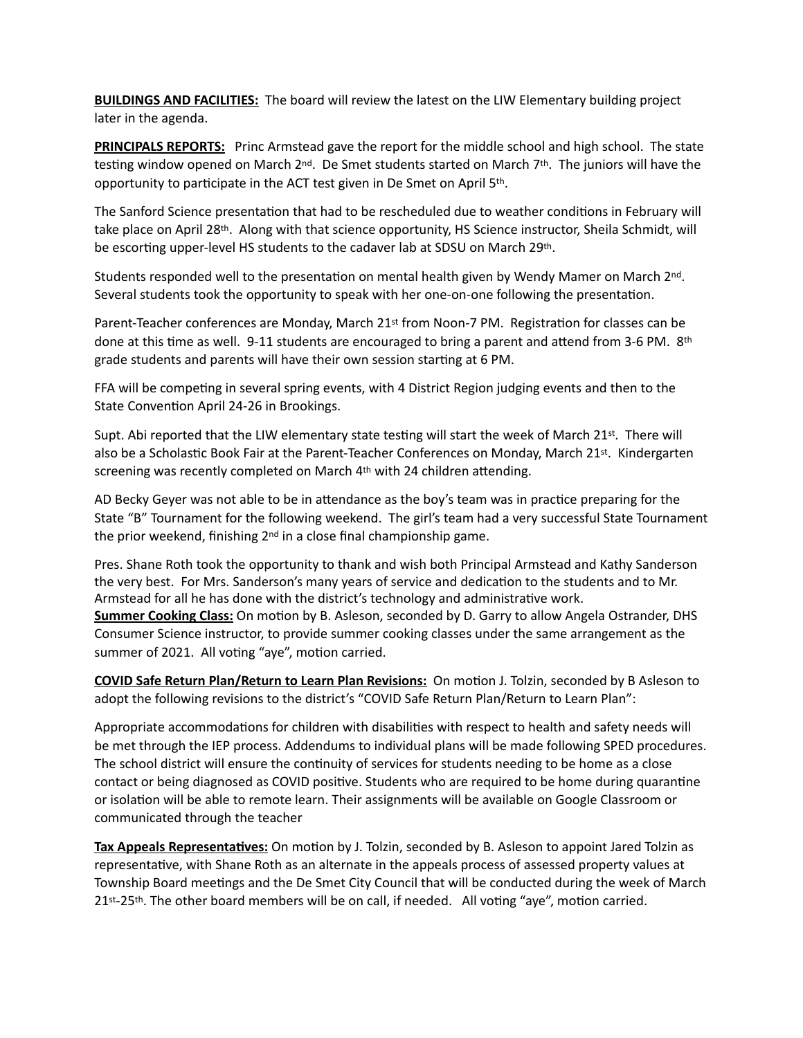**BUILDINGS AND FACILITIES:** The board will review the latest on the LIW Elementary building project later in the agenda.

**PRINCIPALS REPORTS:** Princ Armstead gave the report for the middle school and high school. The state testing window opened on March 2<sup>nd</sup>. De Smet students started on March 7<sup>th</sup>. The juniors will have the opportunity to participate in the ACT test given in De Smet on April 5th.

The Sanford Science presentation that had to be rescheduled due to weather conditions in February will take place on April 28th. Along with that science opportunity, HS Science instructor, Sheila Schmidt, will be escorting upper-level HS students to the cadaver lab at SDSU on March 29th.

Students responded well to the presentation on mental health given by Wendy Mamer on March 2nd. Several students took the opportunity to speak with her one-on-one following the presentation.

Parent-Teacher conferences are Monday, March 21st from Noon-7 PM. Registration for classes can be done at this time as well. 9-11 students are encouraged to bring a parent and attend from 3-6 PM. 8th grade students and parents will have their own session starting at 6 PM.

FFA will be competing in several spring events, with 4 District Region judging events and then to the State Convention April 24-26 in Brookings.

Supt. Abi reported that the LIW elementary state testing will start the week of March 21st. There will also be a Scholastic Book Fair at the Parent-Teacher Conferences on Monday, March 21st. Kindergarten screening was recently completed on March 4<sup>th</sup> with 24 children attending.

AD Becky Geyer was not able to be in attendance as the boy's team was in practice preparing for the State "B" Tournament for the following weekend. The girl's team had a very successful State Tournament the prior weekend, finishing  $2<sup>nd</sup>$  in a close final championship game.

Pres. Shane Roth took the opportunity to thank and wish both Principal Armstead and Kathy Sanderson the very best. For Mrs. Sanderson's many years of service and dedication to the students and to Mr. Armstead for all he has done with the district's technology and administrative work. **Summer Cooking Class:** On motion by B. Asleson, seconded by D. Garry to allow Angela Ostrander, DHS Consumer Science instructor, to provide summer cooking classes under the same arrangement as the summer of 2021. All voting "aye", motion carried.

**COVID Safe Return Plan/Return to Learn Plan Revisions:** On motion J. Tolzin, seconded by B Asleson to adopt the following revisions to the district's "COVID Safe Return Plan/Return to Learn Plan":

Appropriate accommodations for children with disabilities with respect to health and safety needs will be met through the IEP process. Addendums to individual plans will be made following SPED procedures. The school district will ensure the continuity of services for students needing to be home as a close contact or being diagnosed as COVID positive. Students who are required to be home during quarantine or isolation will be able to remote learn. Their assignments will be available on Google Classroom or communicated through the teacher

**Tax Appeals Representatives:** On motion by J. Tolzin, seconded by B. Asleson to appoint Jared Tolzin as representative, with Shane Roth as an alternate in the appeals process of assessed property values at Township Board meetings and the De Smet City Council that will be conducted during the week of March 21st-25th. The other board members will be on call, if needed. All voting "aye", motion carried.